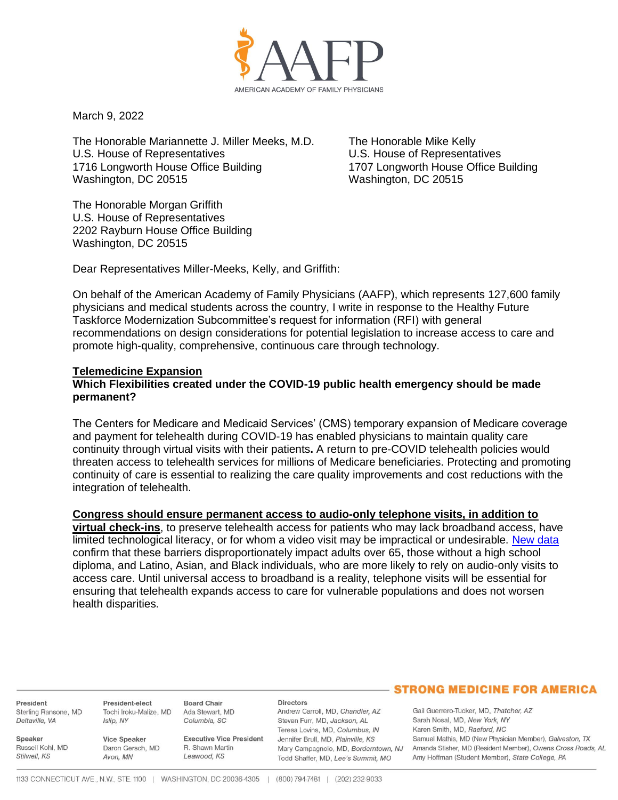

March 9, 2022

The Honorable Mariannette J. Miller Meeks, M.D. The Honorable Mike Kelly U.S. House of Representatives U.S. House of Representatives 1716 Longworth House Office Building 1707 Longworth House Office Building Washington, DC 20515 Washington, DC 20515

The Honorable Morgan Griffith U.S. House of Representatives 2202 Rayburn House Office Building Washington, DC 20515

Dear Representatives Miller-Meeks, Kelly, and Griffith:

On behalf of the American Academy of Family Physicians (AAFP), which represents 127,600 family physicians and medical students across the country, I write in response to the Healthy Future Taskforce Modernization Subcommittee's request for information (RFI) with general recommendations on design considerations for potential legislation to increase access to care and promote high-quality, comprehensive, continuous care through technology.

### **Telemedicine Expansion**

### **Which Flexibilities created under the COVID-19 public health emergency should be made permanent?**

The Centers for Medicare and Medicaid Services' (CMS) temporary expansion of Medicare coverage and payment for telehealth during COVID-19 has enabled physicians to maintain quality care continuity through virtual visits with their patients**.** A return to pre-COVID telehealth policies would threaten access to telehealth services for millions of Medicare beneficiaries. Protecting and promoting continuity of care is essential to realizing the care quality improvements and cost reductions with the integration of telehealth.

### **Congress should ensure permanent access to audio-only telephone visits, in addition to**

**virtual check-ins**, to preserve telehealth access for patients who may lack broadband access, have limited technological literacy, or for whom a video visit may be impractical or undesirable. [New data](https://aspe.hhs.gov/sites/default/files/documents/4e1853c0b4885112b2994680a58af9ed/telehealth-hps-ib.pdf) confirm that these barriers disproportionately impact adults over 65, those without a high school diploma, and Latino, Asian, and Black individuals, who are more likely to rely on audio-only visits to access care. Until universal access to broadband is a reality, telephone visits will be essential for ensuring that telehealth expands access to care for vulnerable populations and does not worsen health disparities.

President Sterling Ransone, MD Deltaville, VA

Russell Kohl, MD

Speaker

Stilwell, KS

President-elect Tochi Iroku-Malize, MD Ada Stewart, MD Islip, NY

**Vice Speaker** Daron Gersch, MD Avon, MN

**Executive Vice President** R. Shawn Martin Leawood, KS

#### **Directors**

Andrew Carroll, MD, Chandler, AZ Steven Furr, MD, Jackson, AL Teresa Lovins, MD, Columbus, IN Jennifer Brull, MD, Plainville, KS Mary Campagnolo, MD, Borderntown, NJ Todd Shaffer, MD, Lee's Summit, MO

# **STRONG MEDICINE FOR AMERICA**

Gail Guerrero-Tucker, MD, Thatcher, AZ Sarah Nosal, MD, New York, NY Karen Smith, MD, Raeford, NC Samuel Mathis, MD (New Physician Member), Galveston, TX Amanda Stisher, MD (Resident Member), Owens Cross Roads, AL Amy Hoffman (Student Member), State College, PA

**Board Chair** 

Columbia, SC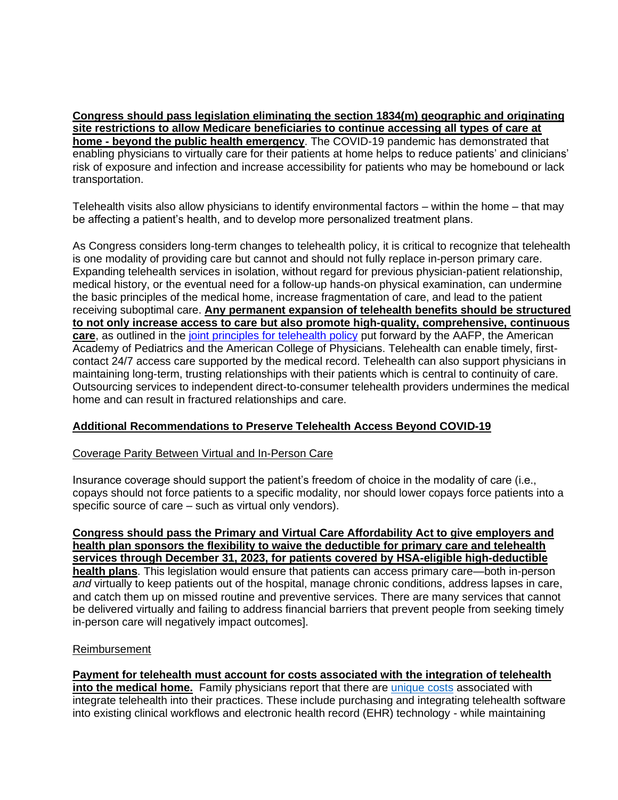**Congress should pass legislation eliminating the section 1834(m) geographic and originating site restrictions to allow Medicare beneficiaries to continue accessing all types of care at home - beyond the public health emergency**. The COVID-19 pandemic has demonstrated that enabling physicians to virtually care for their patients at home helps to reduce patients' and clinicians' risk of exposure and infection and increase accessibility for patients who may be homebound or lack transportation.

Telehealth visits also allow physicians to identify environmental factors – within the home – that may be affecting a patient's health, and to develop more personalized treatment plans.

As Congress considers long-term changes to telehealth policy, it is critical to recognize that telehealth is one modality of providing care but cannot and should not fully replace in-person primary care. Expanding telehealth services in isolation, without regard for previous physician-patient relationship, medical history, or the eventual need for a follow-up hands-on physical examination, can undermine the basic principles of the medical home, increase fragmentation of care, and lead to the patient receiving suboptimal care. **Any permanent expansion of telehealth benefits should be structured to not only increase access to care but also promote high-quality, comprehensive, continuous care**, as outlined in the [joint principles for telehealth policy](https://www.aafp.org/dam/AAFP/documents/advocacy/health_it/telehealth/LT-Congress-TelehealthHELP-070120.pdf) put forward by the AAFP, the American Academy of Pediatrics and the American College of Physicians. Telehealth can enable timely, firstcontact 24/7 access care supported by the medical record. Telehealth can also support physicians in maintaining long-term, trusting relationships with their patients which is central to continuity of care. Outsourcing services to independent direct-to-consumer telehealth providers undermines the medical home and can result in fractured relationships and care.

# **Additional Recommendations to Preserve Telehealth Access Beyond COVID-19**

### Coverage Parity Between Virtual and In-Person Care

Insurance coverage should support the patient's freedom of choice in the modality of care (i.e., copays should not force patients to a specific modality, nor should lower copays force patients into a specific source of care – such as virtual only vendors).

**Congress should pass the Primary and Virtual Care Affordability Act to give employers and health plan sponsors the flexibility to waive the deductible for primary care and telehealth services through December 31, 2023, for patients covered by HSA-eligible high-deductible health plans**. This legislation would ensure that patients can access primary care—both in-person *and* virtually to keep patients out of the hospital, manage chronic conditions, address lapses in care, and catch them up on missed routine and preventive services. There are many services that cannot be delivered virtually and failing to address financial barriers that prevent people from seeking timely in-person care will negatively impact outcomes].

### Reimbursement

**Payment for telehealth must account for costs associated with the integration of telehealth into the medical home.** Family physicians report that there are [unique costs](https://www.kff.org/womens-health-policy/issue-brief/opportunities-and-barriers-for-telemedicine-in-the-u-s-during-the-covid-19-emergency-and-beyond/) associated with integrate telehealth into their practices. These include purchasing and integrating telehealth software into existing clinical workflows and electronic health record (EHR) technology - while maintaining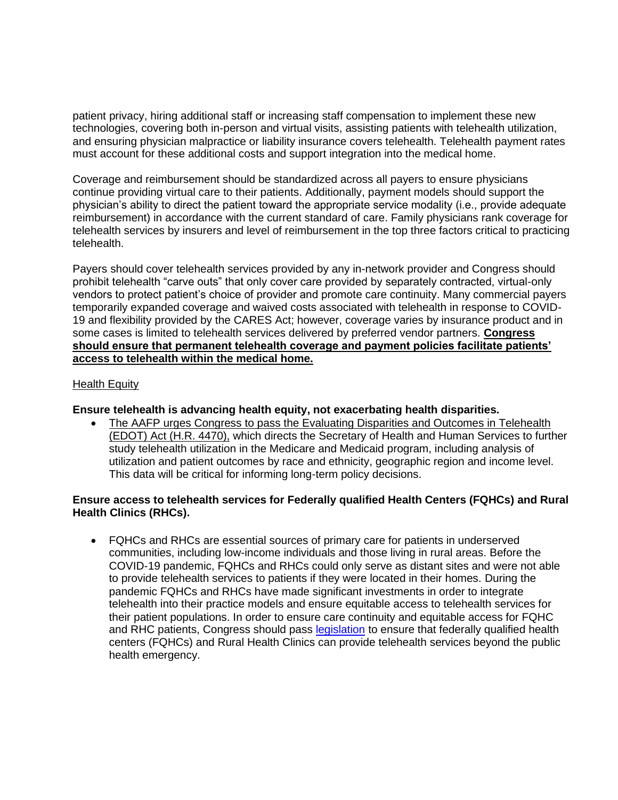patient privacy, hiring additional staff or increasing staff compensation to implement these new technologies, covering both in-person and virtual visits, assisting patients with telehealth utilization, and ensuring physician malpractice or liability insurance covers telehealth. Telehealth payment rates must account for these additional costs and support integration into the medical home.

Coverage and reimbursement should be standardized across all payers to ensure physicians continue providing virtual care to their patients. Additionally, payment models should support the physician's ability to direct the patient toward the appropriate service modality (i.e., provide adequate reimbursement) in accordance with the current standard of care. Family physicians rank coverage for telehealth services by insurers and level of reimbursement in the top three factors critical to practicing telehealth.

Payers should cover telehealth services provided by any in-network provider and Congress should prohibit telehealth "carve outs" that only cover care provided by separately contracted, virtual-only vendors to protect patient's choice of provider and promote care continuity. Many commercial payers temporarily expanded coverage and waived costs associated with telehealth in response to COVID-19 and flexibility provided by the CARES Act; however, coverage varies by insurance product and in some cases is limited to telehealth services delivered by preferred vendor partners. **Congress should ensure that permanent telehealth coverage and payment policies facilitate patients' access to telehealth within the medical home.** 

# Health Equity

### **Ensure telehealth is advancing health equity, not exacerbating health disparities.**

• The AAFP urges Congress to pass the Evaluating Disparities and Outcomes in Telehealth (EDOT) Act (H.R. 4470), which directs the Secretary of Health and Human Services to further study telehealth utilization in the Medicare and Medicaid program, including analysis of utilization and patient outcomes by race and ethnicity, geographic region and income level. This data will be critical for informing long-term policy decisions.

# **Ensure access to telehealth services for Federally qualified Health Centers (FQHCs) and Rural Health Clinics (RHCs).**

• FQHCs and RHCs are essential sources of primary care for patients in underserved communities, including low-income individuals and those living in rural areas. Before the COVID-19 pandemic, FQHCs and RHCs could only serve as distant sites and were not able to provide telehealth services to patients if they were located in their homes. During the pandemic FQHCs and RHCs have made significant investments in order to integrate telehealth into their practice models and ensure equitable access to telehealth services for their patient populations. In order to ensure care continuity and equitable access for FQHC and RHC patients, Congress should pass [legislation](https://www.manchin.senate.gov/newsroom/press-releases/manchin-ernst-shaheen-moran-introduce-bipartisan-bill-to-make-rural-underserved-telehealth-flexibilities-permanent) to ensure that federally qualified health centers (FQHCs) and Rural Health Clinics can provide telehealth services beyond the public health emergency.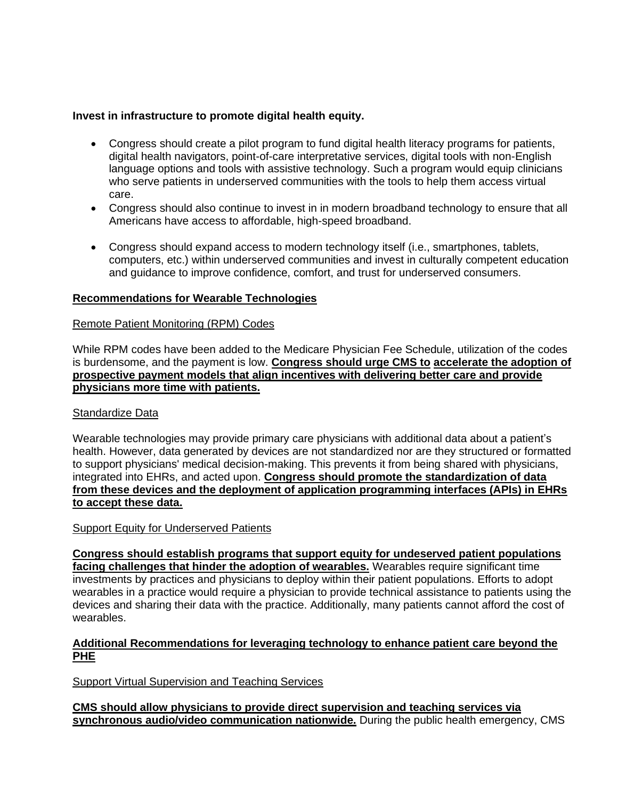# **Invest in infrastructure to promote digital health equity.**

- Congress should create a pilot program to fund digital health literacy programs for patients, digital health navigators, point-of-care interpretative services, digital tools with non-English language options and tools with assistive technology. Such a program would equip clinicians who serve patients in underserved communities with the tools to help them access virtual care.
- Congress should also continue to invest in in modern broadband technology to ensure that all Americans have access to affordable, high-speed broadband.
- Congress should expand access to modern technology itself (i.e., smartphones, tablets, computers, etc.) within underserved communities and invest in culturally competent education and guidance to improve confidence, comfort, and trust for underserved consumers.

# **Recommendations for Wearable Technologies**

# Remote Patient Monitoring (RPM) Codes

While RPM codes have been added to the Medicare Physician Fee Schedule, utilization of the codes is burdensome, and the payment is low. **Congress should urge CMS to accelerate the adoption of prospective payment models that align incentives with delivering better care and provide physicians more time with patients.** 

### Standardize Data

Wearable technologies may provide primary care physicians with additional data about a patient's health. However, data generated by devices are not standardized nor are they structured or formatted to support physicians' medical decision-making. This prevents it from being shared with physicians, integrated into EHRs, and acted upon. **Congress should promote the standardization of data from these devices and the deployment of application programming interfaces (APIs) in EHRs to accept these data.** 

### **Support Equity for Underserved Patients**

**Congress should establish programs that support equity for undeserved patient populations facing challenges that hinder the adoption of wearables.** Wearables require significant time investments by practices and physicians to deploy within their patient populations. Efforts to adopt wearables in a practice would require a physician to provide technical assistance to patients using the devices and sharing their data with the practice. Additionally, many patients cannot afford the cost of wearables.

# **Additional Recommendations for leveraging technology to enhance patient care beyond the PHE**

Support Virtual Supervision and Teaching Services

**CMS should allow physicians to provide direct supervision and teaching services via synchronous audio/video communication nationwide.** During the public health emergency, CMS